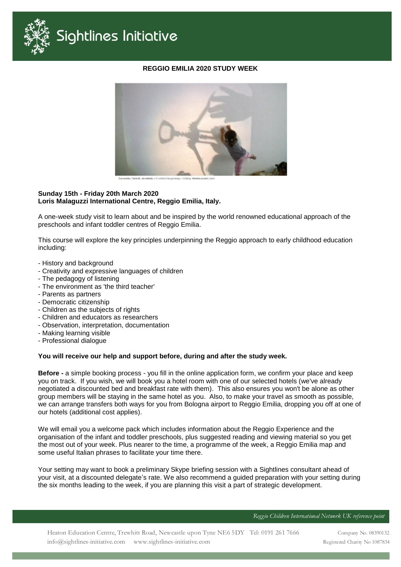

## **REGGIO EMILIA 2020 STUDY WEEK**



#### **Sunday 15th - Friday 20th March 2020 Loris Malaguzzi International Centre, Reggio Emilia, Italy.**

A one-week study visit to learn about and be inspired by the world renowned educational approach of the preschools and infant toddler centres of Reggio Emilia.

This course will explore the key principles underpinning the Reggio approach to early childhood education including:

- History and background
- Creativity and expressive languages of children
- The pedagogy of listening
- The environment as 'the third teacher'
- Parents as partners
- Democratic citizenship
- Children as the subjects of rights
- Children and educators as researchers
- Observation, interpretation, documentation
- Making learning visible
- Professional dialogue

### **You will receive our help and support before, during and after the study week.**

**Before -** a simple booking process - you fill in the online application form, we confirm your place and keep you on track. If you wish, we will book you a hotel room with one of our selected hotels (we've already negotiated a discounted bed and breakfast rate with them). This also ensures you won't be alone as other group members will be staying in the same hotel as you. Also, to make your travel as smooth as possible, we can arrange transfers both ways for you from Bologna airport to Reggio Emilia, dropping you off at one of our hotels (additional cost applies).

We will email you a welcome pack which includes information about the Reggio Experience and the organisation of the infant and toddler preschools, plus suggested reading and viewing material so you get the most out of your week. Plus nearer to the time, a programme of the week, a Reggio Emilia map and some useful Italian phrases to facilitate your time there.

Your setting may want to book a preliminary Skype briefing session with a Sightlines consultant ahead of your visit, at a discounted delegate's rate. We also recommend a guided preparation with your setting during the six months leading to the week, if you are planning this visit a part of strategic development.

**Reggio Children International Network UK reference point**

Company No. 08390132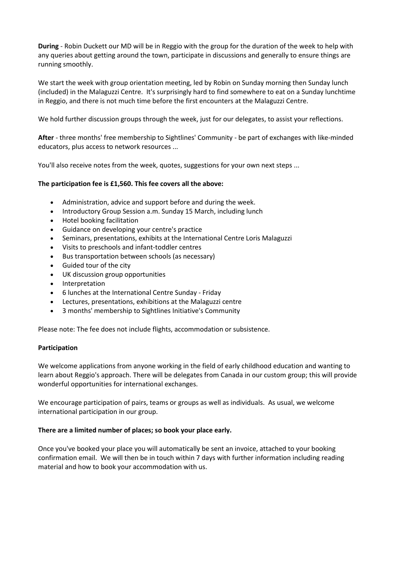**During** - Robin Duckett our MD will be in Reggio with the group for the duration of the week to help with any queries about getting around the town, participate in discussions and generally to ensure things are running smoothly.

We start the week with group orientation meeting, led by Robin on Sunday morning then Sunday lunch (included) in the Malaguzzi Centre. It's surprisingly hard to find somewhere to eat on a Sunday lunchtime in Reggio, and there is not much time before the first encounters at the Malaguzzi Centre.

We hold further discussion groups through the week, just for our delegates, to assist your reflections.

**After** - three months' free membership to Sightlines' Community - be part of exchanges with like-minded educators, plus access to network resources ...

You'll also receive notes from the week, quotes, suggestions for your own next steps ...

# **The participation fee is £1,560. This fee covers all the above:**

- Administration, advice and support before and during the week.
- Introductory Group Session a.m. Sunday 15 March, including lunch
- Hotel booking facilitation
- Guidance on developing your centre's practice
- Seminars, presentations, exhibits at the International Centre Loris Malaguzzi
- Visits to preschools and infant-toddler centres
- Bus transportation between schools (as necessary)
- Guided tour of the city
- UK discussion group opportunities
- Interpretation
- 6 lunches at the International Centre Sunday Friday
- Lectures, presentations, exhibitions at the Malaguzzi centre
- 3 months' membership to Sightlines Initiative's Community

Please note: The fee does not include flights, accommodation or subsistence.

### **Participation**

We welcome applications from anyone working in the field of early childhood education and wanting to learn about Reggio's approach. There will be delegates from Canada in our custom group; this will provide wonderful opportunities for international exchanges.

We encourage participation of pairs, teams or groups as well as individuals. As usual, we welcome international participation in our group.

### **There are a limited number of places; so book your place early.**

Once you've booked your place you will automatically be sent an invoice, attached to your booking confirmation email. We will then be in touch within 7 days with further information including reading material and how to book your accommodation with us.